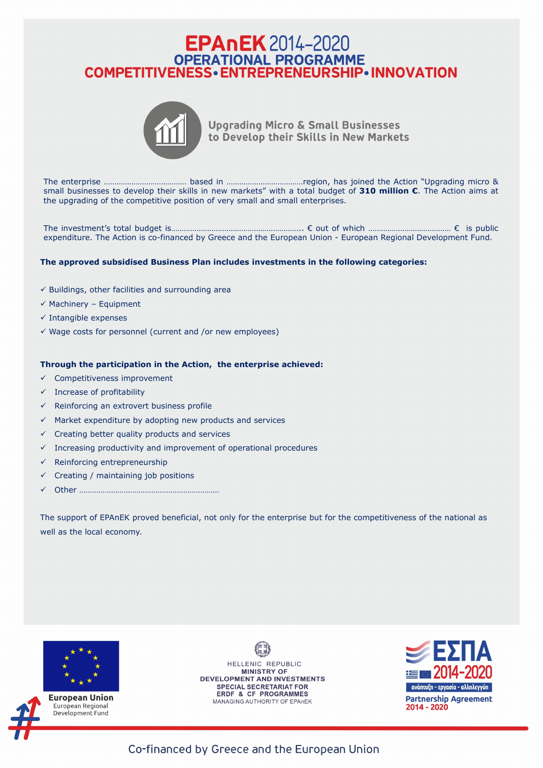## **EPAnEK** 2014-2020 OPERATIONAL PROGRAMME<br>COMPETITIVENESS • ENTREPRENEURSHIP • INNOVATION



**Upgrading Micro & Small Businesses** to Develop their Skills in New Markets

The enterprise ………………………………… based in ………………………………region, has joined the Action "Upgrading micro & small businesses to develop their skills in new markets" with a total budget of **310 million €**. The Action aims at the upgrading of the competitive position of very small and small enterprises.

The investment's total budget is…………………………………………………….. € out of which ………………………………… € is public expenditure. The Action is co-financed by Greece and the European Union - European Regional Development Fund.

## **The approved subsidised Business Plan includes investments in the following categories:**

- $\checkmark$  Buildings, other facilities and surrounding area
- $\checkmark$  Machinery Equipment
- $\checkmark$  Intangible expenses
- $\checkmark$  Wage costs for personnel (current and /or new employees)

- $\checkmark$  Competitiveness improvement
- $\checkmark$  Increase of profitability
- $\checkmark$  Reinforcing an extrovert business profile
- $\checkmark$  Market expenditure by adopting new products and services
- $\checkmark$  Creating better quality products and services
- $\checkmark$  Increasing productivity and improvement of operational procedures
- $\checkmark$  Reinforcing entrepreneurship
- $\checkmark$  Creating / maintaining job positions
- ü Other …………………………………………………………

## **Through the participation in the Action, the enterprise achieved:**

The support of EPAnEK proved beneficial, not only for the enterprise but for the competitiveness of the national as well as the local economy.



**European Union** European Regional Development Fund

HELLENIC REPUBLIC **MINISTRY OF DEVELOPMENT AND INVESTMENTS SPECIAL SECRETARIAT FOR ERDF & CF PROGRAMMES** MANAGING AUTHORITY OF EPAnEK

EZITA , 2014–2020 ανάπτυξη - εργασία - αλληλεγγύη **Partnership Agreement** 2014 - 2020

Co-financed by Greece and the European Union